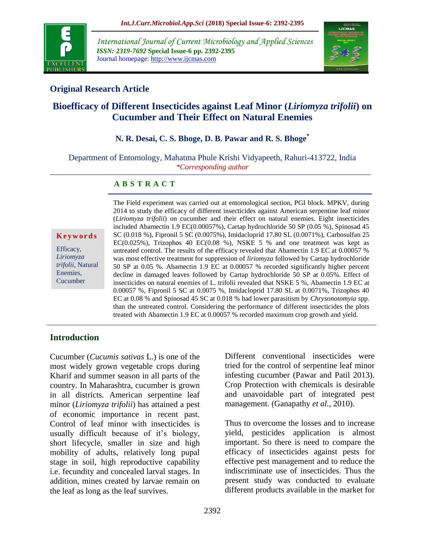

*International Journal of Current Microbiology and Applied Sciences ISSN: 2319-7692* **Special Issue-6 pp. 2392-2395** Journal homepage: http://www.ijcmas.com



# **Original Research Article**

# **Bioefficacy of Different Insecticides against Leaf Minor (***Liriomyza trifolii***) on Cucumber and Their Effect on Natural Enemies**

### **N. R. Desai, C. S. Bhoge, D. B. Pawar and R. S. Bhoge\***

Department of Entomology, Mahatma Phule Krishi Vidyapeeth, Rahuri-413722, India *\*Corresponding author*

#### **A B S T R A C T**

**K e y w o r d s**

Efficacy, *Liriomyza trifolii*, Natural Enemies, **Cucumber** 

The Field experiment was carried out at entomological section, PGI block. MPKV, during 2014 to study the efficacy of different insecticides against American serpentine leaf minor (*Liriomyza trifolii*) on cucumber and their effect on natural enemies. Eight insecticides included Abamectin 1.9 EC(0.00057%), Cartap hydrochloride 50 SP (0.05 %), Spinosad 45 SC (0.018 %), Fipronil 5 SC (0.0075%), Imidacloprid 17.80 SL (0.0071%), Carbosulfan 25 EC( $0.025\%$ ), Trizophos 40 EC( $0.08\%$ ), NSKE 5 % and one treatment was kept as untreated control. The results of the efficacy revealed that Abamectin 1.9 EC at 0.00057 % was most effective treatment for suppression of *liriomyza* followed by Cartap hydrochloride 50 SP at 0.05 %. Abamectin 1.9 EC at 0.00057 % recorded significantly higher percent decline in damaged leaves followed by Cartap hydrochloride 50 SP at 0.05%. Effect of insecticides on natural enemies of L. trifolii revealed that NSKE 5 %, Abamectin 1.9 EC at 0.00057 %, Fipronil 5 SC at 0.0075 %, Imidacloprid 17.80 SL at 0.0071%, Trizophos 40 EC at 0.08 % and Spinosad 45 SC at 0.018 % had lower parasitism by *Chrysonotomyia* spp. than the untreated control. Considering the performance of different insecticides the plots treated with Abamectin 1.9 EC at 0.00057 % recorded maximum crop growth and yield.

#### **Introduction**

Cucumber (*Cucumis sativas* L.) is one of the most widely grown vegetable crops during Kharif and summer season in all parts of the country. In Maharashtra, cucumber is grown in all districts. American serpentine leaf minor (*Liriomyza trifolii*) has attained a pest of economic importance in recent past. Control of leaf minor with insecticides is usually difficult because of it's biology, short lifecycle, smaller in size and high mobility of adults, relatively long pupal stage in soil, high reproductive capability i.e. fecundity and concealed larval stages. In addition, mines created by larvae remain on the leaf as long as the leaf survives.

Different conventional insecticides were tried for the control of serpentine leaf minor infesting cucumber (Pawar and Patil 2013). Crop Protection with chemicals is desirable and unavoidable part of integrated pest management. (Ganapathy *et al.,* 2010).

Thus to overcome the losses and to increase yield, pesticides application is almost important. So there is need to compare the efficacy of insecticides against pests for effective pest management and to reduce the indiscriminate use of insecticides. Thus the present study was conducted to evaluate different products available in the market for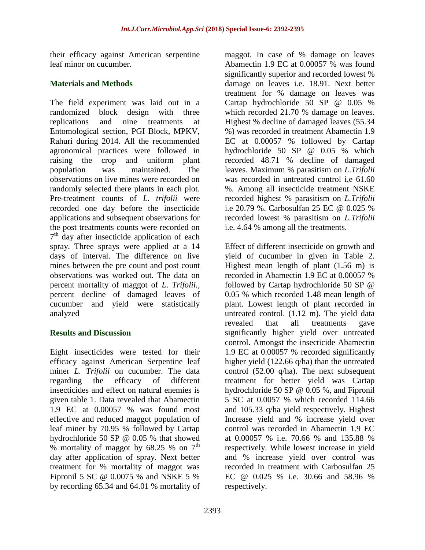their efficacy against American serpentine leaf minor on cucumber.

## **Materials and Methods**

The field experiment was laid out in a randomized block design with three replications and nine treatments at Entomological section, PGI Block, MPKV, Rahuri during 2014. All the recommended agronomical practices were followed in raising the crop and uniform plant population was maintained. The observations on live mines were recorded on randomly selected there plants in each plot. Pre-treatment counts of *L. trifolii* were recorded one day before the insecticide applications and subsequent observations for the post treatments counts were recorded on 7<sup>th</sup> day after insecticide application of each spray. Three sprays were applied at a 14 days of interval. The difference on live mines between the pre count and post count observations was worked out. The data on percent mortality of maggot of *L*. *Trifolii.*, percent decline of damaged leaves of cucumber and yield were statistically analyzed

## **Results and Discussion**

Eight insecticides were tested for their efficacy against American Serpentine leaf miner *L. Trifolii* on cucumber. The data regarding the efficacy of different insecticides and effect on natural enemies is given table 1. Data revealed that Abamectin 1.9 EC at 0.00057 % was found most effective and reduced maggot population of leaf miner by 70.95 % followed by Cartap hydrochloride 50 SP @ 0.05 % that showed % mortality of maggot by 68.25 % on  $7<sup>th</sup>$ day after application of spray. Next better treatment for % mortality of maggot was Fipronil 5 SC @ 0.0075 % and NSKE 5 % by recording 65.34 and 64.01 % mortality of

maggot. In case of % damage on leaves Abamectin 1.9 EC at 0.00057 % was found significantly superior and recorded lowest % damage on leaves i.e. 18.91. Next better treatment for % damage on leaves was Cartap hydrochloride 50 SP @ 0.05 % which recorded 21.70 % damage on leaves. Highest % decline of damaged leaves (55.34 %) was recorded in treatment Abamectin 1.9 EC at 0.00057 % followed by Cartap hydrochloride 50 SP @ 0.05 % which recorded 48.71 % decline of damaged leaves. Maximum % parasitism on *L*.*Trifolii* was recorded in untreated control i,e 61.60 %. Among all insecticide treatment NSKE recorded highest % parasitism on *L.Trifolii*  i.e 20.79 %. Carbosulfan 25 EC @ 0.025 % recorded lowest % parasitism on *L.Trifolii* i.e. 4.64 % among all the treatments.

Effect of different insecticide on growth and yield of cucumber in given in Table 2. Highest mean length of plant (1.56 m) is recorded in Abamectin 1.9 EC at 0.00057 % followed by Cartap hydrochloride 50 SP @ 0.05 % which recorded 1.48 mean length of plant. Lowest length of plant recorded in untreated control. (1.12 m). The yield data revealed that all treatments gave significantly higher yield over untreated control. Amongst the insecticide Abamectin 1.9 EC at 0.00057 % recorded significantly higher yield (122.66 q/ha) than the untreated control (52.00 q/ha). The next subsequent treatment for better yield was Cartap hydrochloride 50 SP @ 0.05 %, and Fipronil 5 SC at 0.0057 % which recorded 114.66 and 105.33 q/ha yield respectively. Highest Increase yield and % increase yield over control was recorded in Abamectin 1.9 EC at 0.00057 % i.e. 70.66 % and 135.88 % respectively. While lowest increase in yield and % increase yield over control was recorded in treatment with Carbosulfan 25 EC @ 0.025 % i.e. 30.66 and 58.96 % respectively.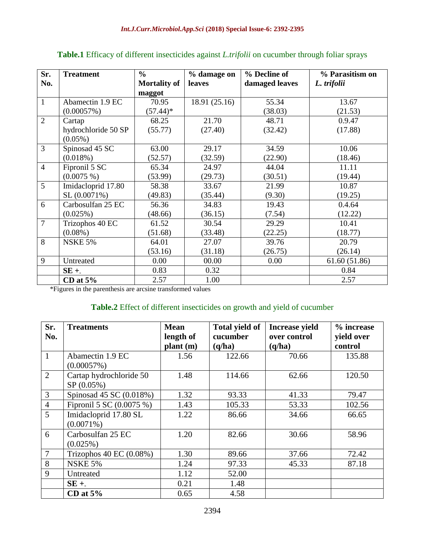| Sr.            | <b>Treatment</b>    | $\frac{6}{6}$       | % damage on   | % Decline of   | % Parasitism on |
|----------------|---------------------|---------------------|---------------|----------------|-----------------|
| No.            |                     | <b>Mortality of</b> | leaves        | damaged leaves | L. trifolii     |
|                |                     | maggot              |               |                |                 |
| $\mathbf{1}$   | Abamectin 1.9 EC    | 70.95               | 18.91 (25.16) | 55.34          | 13.67           |
|                | (0.00057%)          | $(57.44)^*$         |               | (38.03)        | (21.53)         |
| $\overline{2}$ | Cartap              | 68.25               | 21.70         | 48.71          | 0.9.47          |
|                | hydrochloride 50 SP | (55.77)             | (27.40)       | (32.42)        | (17.88)         |
|                | $(0.05\%)$          |                     |               |                |                 |
| 3              | Spinosad 45 SC      | 63.00               | 29.17         | 34.59          | 10.06           |
|                | (0.018%)            | (52.57)             | (32.59)       | (22.90)        | (18.46)         |
| $\overline{4}$ | Fipronil 5 SC       | 65.34               | 24.97         | 44.04          | 11.11           |
|                | $(0.0075\%)$        | (53.99)             | (29.73)       | (30.51)        | (19.44)         |
| 5              | Imidacloprid 17.80  | 58.38               | 33.67         | 21.99          | 10.87           |
|                | SL (0.0071%)        | (49.83)             | (35.44)       | (9.30)         | (19.25)         |
| 6              | Carbosulfan 25 EC   | 56.36               | 34.83         | 19.43          | 0.4.64          |
|                | (0.025%)            | (48.66)             | (36.15)       | (7.54)         | (12.22)         |
| 7              | Trizophos 40 EC     | 61.52               | 30.54         | 29.29          | 10.41           |
|                | $(0.08\%)$          | (51.68)             | (33.48)       | (22.25)        | (18.77)         |
| 8              | <b>NSKE 5%</b>      | 64.01               | 27.07         | 39.76          | 20.79           |
|                |                     | (53.16)             | (31.18)       | (26.75)        | (26.14)         |
| 9              | Untreated           | 0.00                | 00.00         | 0.00           | 61.60 (51.86)   |
|                | $SE +$              | 0.83                | 0.32          |                | 0.84            |
|                | CD at $5%$          | 2.57                | 1.00          |                | 2.57            |

## **Table.1** Efficacy of different insecticides against *L.trifolii* on cucumber through foliar sprays

\*Figures in the parenthesis are arcsine transformed values

## **Table.2** Effect of different insecticides on growth and yield of cucumber

| Sr.            | <b>Treatments</b>                  | <b>Mean</b> | <b>Total yield of</b> | <b>Increase yield</b> | % increase |
|----------------|------------------------------------|-------------|-----------------------|-----------------------|------------|
| No.            |                                    | length of   | cucumber              | over control          | yield over |
|                |                                    | plant (m)   | (q/ha)                | (q/ha)                | control    |
| 1              | Abamectin 1.9 EC                   | 1.56        | 122.66                | 70.66                 | 135.88     |
|                | (0.00057%)                         |             |                       |                       |            |
| $\overline{2}$ | Cartap hydrochloride 50            | 1.48        | 114.66                | 62.66                 | 120.50     |
|                | SP (0.05%)                         |             |                       |                       |            |
| 3              | Spinosad 45 SC (0.018%)            | 1.32        | 93.33                 | 41.33                 | 79.47      |
| $\overline{4}$ | Fipronil 5 SC (0.0075 %)           | 1.43        | 105.33                | 53.33                 | 102.56     |
| 5              | Imidacloprid 17.80 SL              | 1.22        | 86.66                 | 34.66                 | 66.65      |
|                | $(0.0071\%)$                       |             |                       |                       |            |
| 6              | Carbosulfan 25 EC                  | 1.20        | 82.66                 | 30.66                 | 58.96      |
|                | $(0.025\%)$                        |             |                       |                       |            |
| $\overline{7}$ | Trizophos $40 \text{ EC} (0.08\%)$ | 1.30        | 89.66                 | 37.66                 | 72.42      |
| 8              | <b>NSKE 5%</b>                     | 1.24        | 97.33                 | 45.33                 | 87.18      |
| 9              | Untreated                          | 1.12        | 52.00                 |                       |            |
|                | $SE +$                             | 0.21        | 1.48                  |                       |            |
|                | CD at $5%$                         | 0.65        | 4.58                  |                       |            |